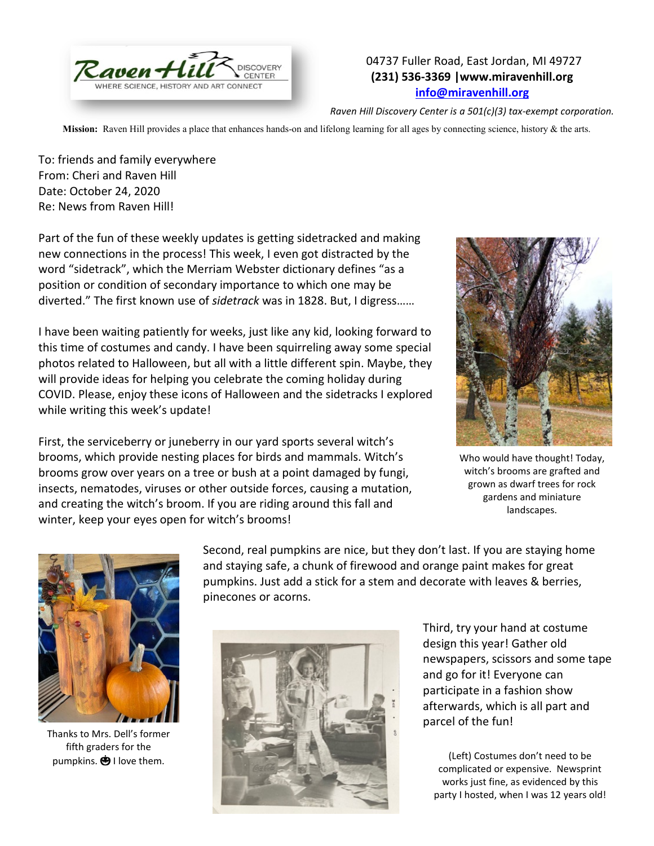

## 04737 Fuller Road, East Jordan, MI 49727 **(231) 536-3369 |www.miravenhill.org [info@miravenhill.org](mailto:info@miravenhill.org)**

*Raven Hill Discovery Center is a 501(c)(3) tax-exempt corporation.*

**Mission:** Raven Hill provides a place that enhances hands-on and lifelong learning for all ages by connecting science, history & the arts.

To: friends and family everywhere From: Cheri and Raven Hill Date: October 24, 2020 Re: News from Raven Hill!

Part of the fun of these weekly updates is getting sidetracked and making new connections in the process! This week, I even got distracted by the word "sidetrack", which the Merriam Webster dictionary defines "as a position or condition of secondary importance to which one may be diverted." The first known use of *sidetrack* was in 1828. But, I digress……

I have been waiting patiently for weeks, just like any kid, looking forward to this time of costumes and candy. I have been squirreling away some special photos related to Halloween, but all with a little different spin. Maybe, they will provide ideas for helping you celebrate the coming holiday during COVID. Please, enjoy these icons of Halloween and the sidetracks I explored while writing this week's update!

First, the serviceberry or juneberry in our yard sports several witch's brooms, which provide nesting places for birds and mammals. Witch's brooms grow over years on a tree or bush at a point damaged by fungi, insects, nematodes, viruses or other outside forces, causing a mutation, and creating the witch's broom. If you are riding around this fall and winter, keep your eyes open for witch's brooms!



Who would have thought! Today, witch's brooms are grafted and grown as dwarf trees for rock gardens and miniature landscapes.



Thanks to Mrs. Dell's former fifth graders for the

Second, real pumpkins are nice, but they don't last. If you are staying home and staying safe, a chunk of firewood and orange paint makes for great pumpkins. Just add a stick for a stem and decorate with leaves & berries, pinecones or acorns.



Third, try your hand at costume design this year! Gather old newspapers, scissors and some tape and go for it! Everyone can participate in a fashion show afterwards, which is all part and parcel of the fun!

complicated or expensive. Newsprint works just fine, as evidenced by this party I hosted, when I was 12 years old!